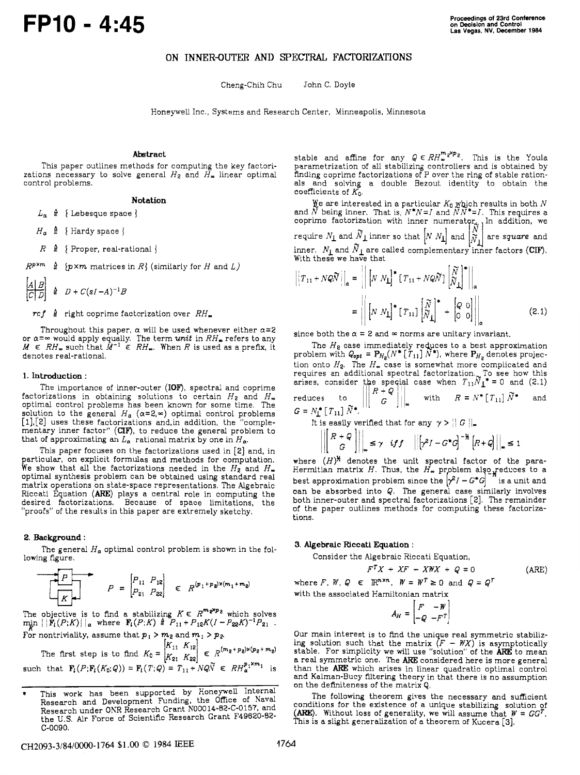# ON **INNER-OUTER AND** SPECI'RAL FACTORIZATIONS

Cheng-Chih Chu John C. Doyle

Honeywell Inc., Systems and Research Center, Minneapolis, Minnesota

# **Abstract**

This paper outlines methods for computing the key factorizations necessary to solve general  $H_2$  and  $H_{\infty}$  linear optimal control problems.

## **Notation**

 $L_{\alpha} \triangleq \{$  Lebesque space  $\}$ 

 $H_a \triangleq \{$  Hardy space  $\}$ 

 $R \triangleq \{$  Proper, real-rational  $\}$ 

 $R^{p \times m} \triangleq$  { $p \times m$  matrices in *R*} (similarly for *H* and *L*)

$$
\begin{array}{c|cc}\nA & B \\
\hline\nC & D\n\end{array} \triangleq D + C(sI - A)^{-1}B
$$

 $ref \triangleq$  right coprime factorization over  $RH_{\infty}$ 

Throughout this paper,  $\alpha$  will be used whenever either  $\alpha=2$  or  $\alpha=\infty$  would apply equally. The term *unit* in  $RH_{\infty}$  refers to any  $M \in RH_{\infty}$  such that  $\tilde{M}^{-1} \in RH_{\infty}$ . When *R* is used as a prefix, it denotes real-rational.

### **1. Introduction** :

The importance of inner-outer **(IOF'),** spectral and coprime factorizations in obtaining solutions to certain *Hz* and *H,*  optimal control problems has been known for some time. The solution to the general  $H_a$  ( $\alpha$ =2, $\infty$ ) optimal control problems [1][2] uses these factorizations and,in addition, the mentary inner factor" (**CIF**), to reduce the general problem t that of approximating an  $L_a$  rational matrix by one in  $H_a$ .

This paper focuses on the factorizations used in *[Z]* and, in particular, on explicit formulas and methods for computa We show that all the factorizations needed in the  $H_2$  and  $H_{\infty}$ optimal synthesis problem can be obtained using standard real matrix operations on state-space representations. The Algebraic Riccati Equation (ARE) plays a central role in computing the desired factorizations. Because of space limitation "proofs" of the results in this paper are extremely sketchy.

### **2. Background** :

lowing figure. The general  $H_{\alpha}$  optimal control problem is shown in the fol-

$$
P = \begin{bmatrix} P_{11} & P_{12} \\ P_{21} & P_{22} \end{bmatrix} \in R^{(p_1 + p_2) \times (m_1 + m_2)}
$$

The objective is to find a stabilizing  $K \in R^{m \times p}$  which solves  $\min_{i} \left| \left| \mathbf{F}_i(P;K) \right| \right|_a$  where  $\mathbf{F}_i(P;K) \triangleq P_{11} + P_{12}K(I - P_{22}K)^{-1}P_{21}$ .

For nontriviality, assume that  $p_1 > m_2$  and  $m_1 > p_2$ .<br>
The first step is to find  $K_0 = \begin{bmatrix} K_{11} & K_{12} \\ K_{21} & K_{22} \end{bmatrix} \in R^{(m_2 + p_2) \times (p_2 + m_2)}$ <br>
such that  $\mathbf{F}_i(P; \mathbf{F}_i(K_0; Q)) = \mathbf{F}_i(T; Q) = T_{11} + NQ\tilde{N} \in RH_a^{p_1 \times m$ 

stable and affine for any  $Q \in RH_{\infty}^{m_{e} \times p_{e}}$ . This is the Youla parametrization of all stabilizing controllers and is obtained by finding coprime factorizations of P over the ring of stable rationals and solving a double Bezout identity to obtain the coefficients of *KC.* 

le are interested in a particular  $K_0$  which results in both *N* and *N* being inner. That is,  $N^*N=I$  and  $NN^*=I$ . This requires a coprime factorization with inner numerator, In addition, we require  $N_{\perp}$  and  $\dot{N}_{\perp}$  inner so that  $\left|N \; N_{\perp}\right|$  and  $\left|\widetilde{N}_{1}\right|$  are *square* and require  $N_1$  and  $\widetilde{N}_1$  inner so that  $\begin{bmatrix} N \\ N_1 \end{bmatrix}$  and  $\begin{bmatrix} N \\ \widetilde{N}_1 \end{bmatrix}$  are square and inner.  $N_1$  and  $\widetilde{N}_1$  are called complementary inner factors (CIF).

$$
\begin{aligned}\n\left| T_{11} + NQ\widetilde{N} \right|_{\alpha} &= \left\| \left[ N \ N_{\mathbf{L}} \right]^{*} \left[ T_{11} + NQ\widetilde{N} \right] \begin{bmatrix} \widetilde{N} \\ \widetilde{N}_{\mathbf{L}} \end{bmatrix}^{*} \right\|_{\alpha} \\
&= \left\| \left[ N \ N_{\mathbf{L}} \right]^{*} \left[ T_{11} \right] \begin{bmatrix} \widetilde{N} \\ \widetilde{N}_{\mathbf{L}} \end{bmatrix}^{*} + \begin{bmatrix} Q & 0 \\ 0 & 0 \end{bmatrix} \right\|_{\alpha} \tag{2.1}\n\end{aligned}
$$

since both the  $\alpha = 2$  and  $\infty$  norms are unitary invariant.

The *He* case immediately reQ:es to a best approximation problem with  $Q_{\text{opt}} = \mathbf{P}_{H_{\text{g}}}(N^*\lfloor T_{11} \rfloor \, N^*)$ , where  $\mathbf{P}_{H_{\text{g}}}$  denotes projection onto  $H_2$ . The  $H_{\infty}$  case is somewhat more complicated an requires an additional spectral factorization. To see how this arises, consider the special case when  $T_{11}\tilde{N}_1^* = 0$  and (2.1) reduces to  $\begin{bmatrix} R+Q \\ G \end{bmatrix}$  with  $R = N^* [T_{11}] \tilde{N}^*$  and  $G = N_1^* [T_{11}] \tilde{N}^*.$ 

It is easily verified that for any  $\gamma$  >  $\|$  *G*  $\|$ <sub>1</sub>

$$
\left\| \begin{array}{c} R + Q \\ G \end{array} \right\| \leq \gamma \quad \text{iff} \quad \left| \left[ \gamma^2 I - G^* G \right]^{-\frac{1}{2}} \left[ R + Q \right] \right| \leq 1
$$

where  $(H)^n$  denotes the unit spectral factor of the para-Hermitian matrix *H.* Thus, the *H,*  best approximation problem since can be absorbed into *Q.* The general case similarly involves both inner-outer and spectral factorizations *[Z].* The remainder of the paper outlines methods for computing these factorizations.

### **3. Algebraic Riccati Equation** :

Consider the Algebraic Riccati Equation,

$$
F^T X + X F - X W X + Q = 0
$$
 (ARE)

where *F*, *W*,  $Q \in \mathbb{R}^{n \times n}$ ,  $W = W^T \ge 0$  and  $Q = Q^T$ 

with the associated Hamiltonian matrix  $A_H = \begin{bmatrix} F & -W \\ -Q & -F^T \end{bmatrix}$ 

Our main interest is to find the unique real symmetric stabilizing solution such that the matrix  $(F - \mathcal{W}X)$  is asymptotically stable. For simplicity we will use "solution" of the **ARE** to mean a real symmetric one. The **ARE** considered here is more general than the ARE which arises in linear quadratic optimal control and Kalman-Bucy Altering theory in that there is no assumption on the definiteness of the matrix **Q.** 

The following theorem gives the necessary and sufficient conditions for the existence of a unique stabilizing solution of *(AIEE).* Without **loss** of generality, we will assume that *W* = *GGT.*  This is a slight generalization of a theorem of Kucera **[3].** 

<sup>\*</sup> This work has been supported by Honeywell Internal Research and Development Funding, the Office of Naval Research under ONR Research Grant NOO014-82-C-0157, and the U.S. Air Force of Scientific Research Grant F49620-82 c-0090.